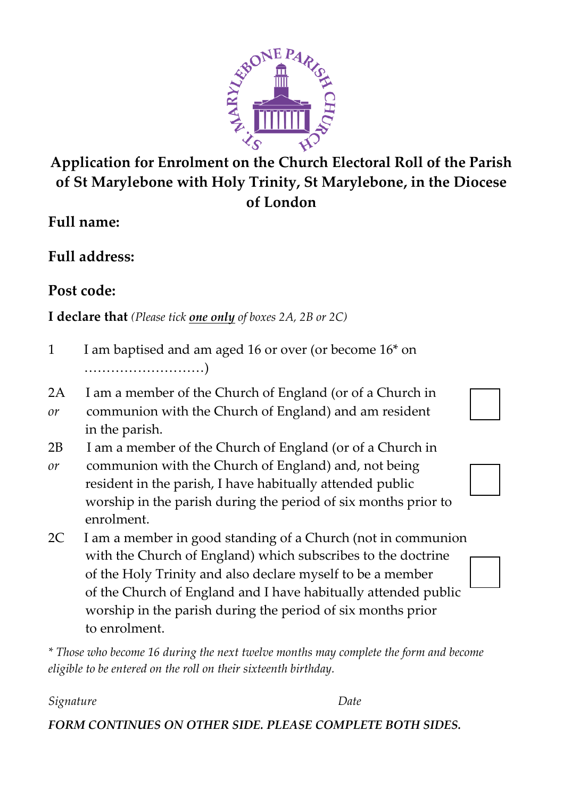

## **Application for Enrolment on the Church Electoral Roll of the Parish of St Marylebone with Holy Trinity, St Marylebone, in the Diocese of London**

**Full name:** 

**Full address:** 

**Post code:** 

**I declare that** *(Please tick one only of boxes 2A, 2B or 2C)*

- 1 I am baptised and am aged 16 or over (or become 16<sup>\*</sup> on ………………………)
- 2A I am a member of the Church of England (or of a Church in *or* communion with the Church of England) and am resident in the parish.
- 2B I am a member of the Church of England (or of a Church in
- *or* communion with the Church of England) and, not being resident in the parish, I have habitually attended public worship in the parish during the period of six months prior to enrolment.
- 2C I am a member in good standing of a Church (not in communion with the Church of England) which subscribes to the doctrine of the Holy Trinity and also declare myself to be a member of the Church of England and I have habitually attended public worship in the parish during the period of six months prior to enrolment.

*\* Those who become 16 during the next twelve months may complete the form and become eligible to be entered on the roll on their sixteenth birthday.* 

*Signature Date* 

*FORM CONTINUES ON OTHER SIDE. PLEASE COMPLETE BOTH SIDES.*